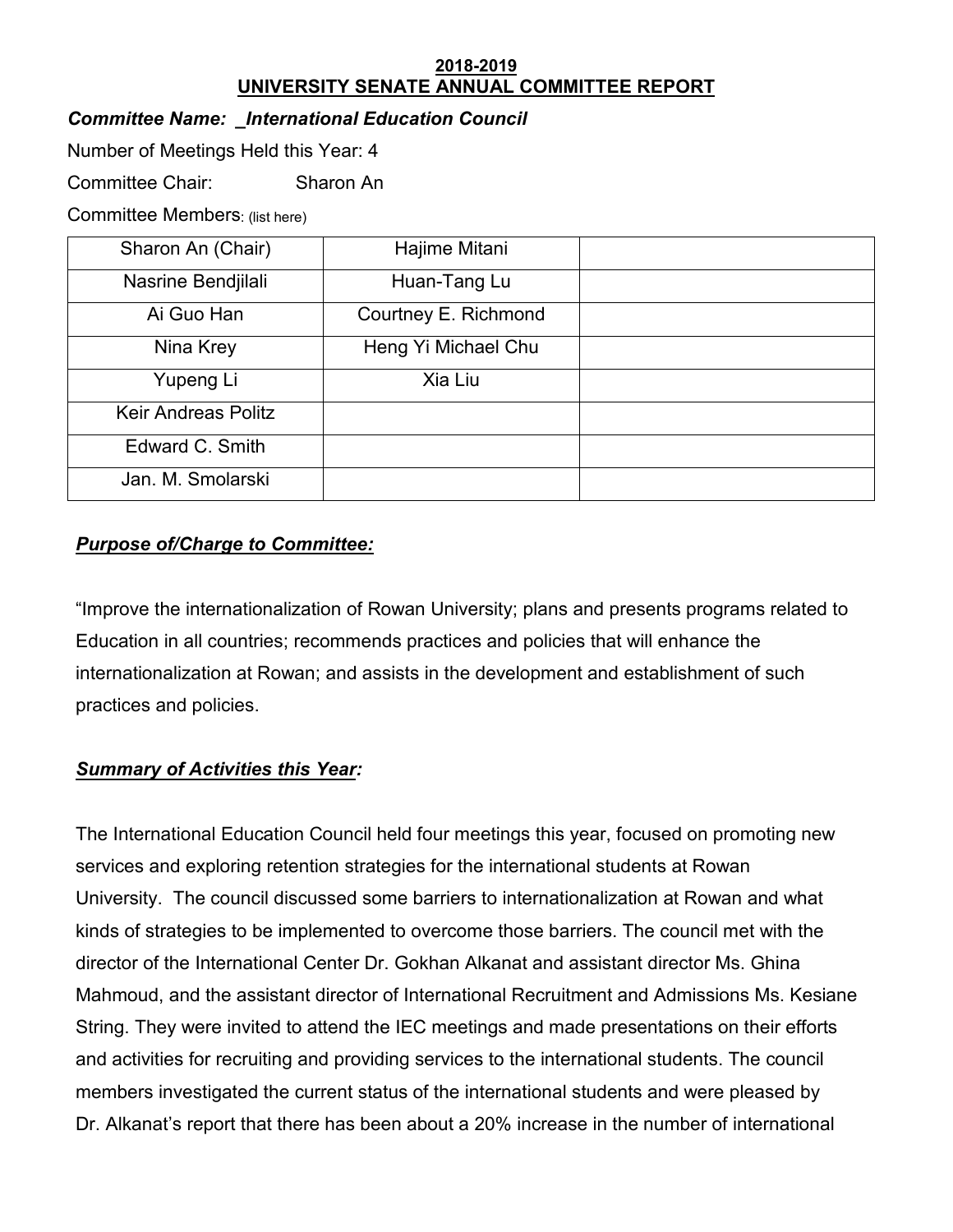#### **2018-2019 UNIVERSITY SENATE ANNUAL COMMITTEE REPORT**

## *Committee Name: \_International Education Council*

Number of Meetings Held this Year: 4

Committee Chair: Sharon An

Committee Members: (list here)

| Sharon An (Chair)          | Hajime Mitani        |  |
|----------------------------|----------------------|--|
| Nasrine Bendjilali         | Huan-Tang Lu         |  |
| Ai Guo Han                 | Courtney E. Richmond |  |
| Nina Krey                  | Heng Yi Michael Chu  |  |
| Yupeng Li                  | Xia Liu              |  |
| <b>Keir Andreas Politz</b> |                      |  |
| Edward C. Smith            |                      |  |
| Jan. M. Smolarski          |                      |  |

# *Purpose of/Charge to Committee:*

"Improve the internationalization of Rowan University; plans and presents programs related to Education in all countries; recommends practices and policies that will enhance the internationalization at Rowan; and assists in the development and establishment of such practices and policies.

### *Summary of Activities this Year:*

The International Education Council held four meetings this year, focused on promoting new services and exploring retention strategies for the international students at Rowan University. The council discussed some barriers to internationalization at Rowan and what kinds of strategies to be implemented to overcome those barriers. The council met with the director of the International Center Dr. Gokhan Alkanat and assistant director Ms. Ghina Mahmoud, and the assistant director of International Recruitment and Admissions Ms. Kesiane String. They were invited to attend the IEC meetings and made presentations on their efforts and activities for recruiting and providing services to the international students. The council members investigated the current status of the international students and were pleased by Dr. Alkanat's report that there has been about a 20% increase in the number of international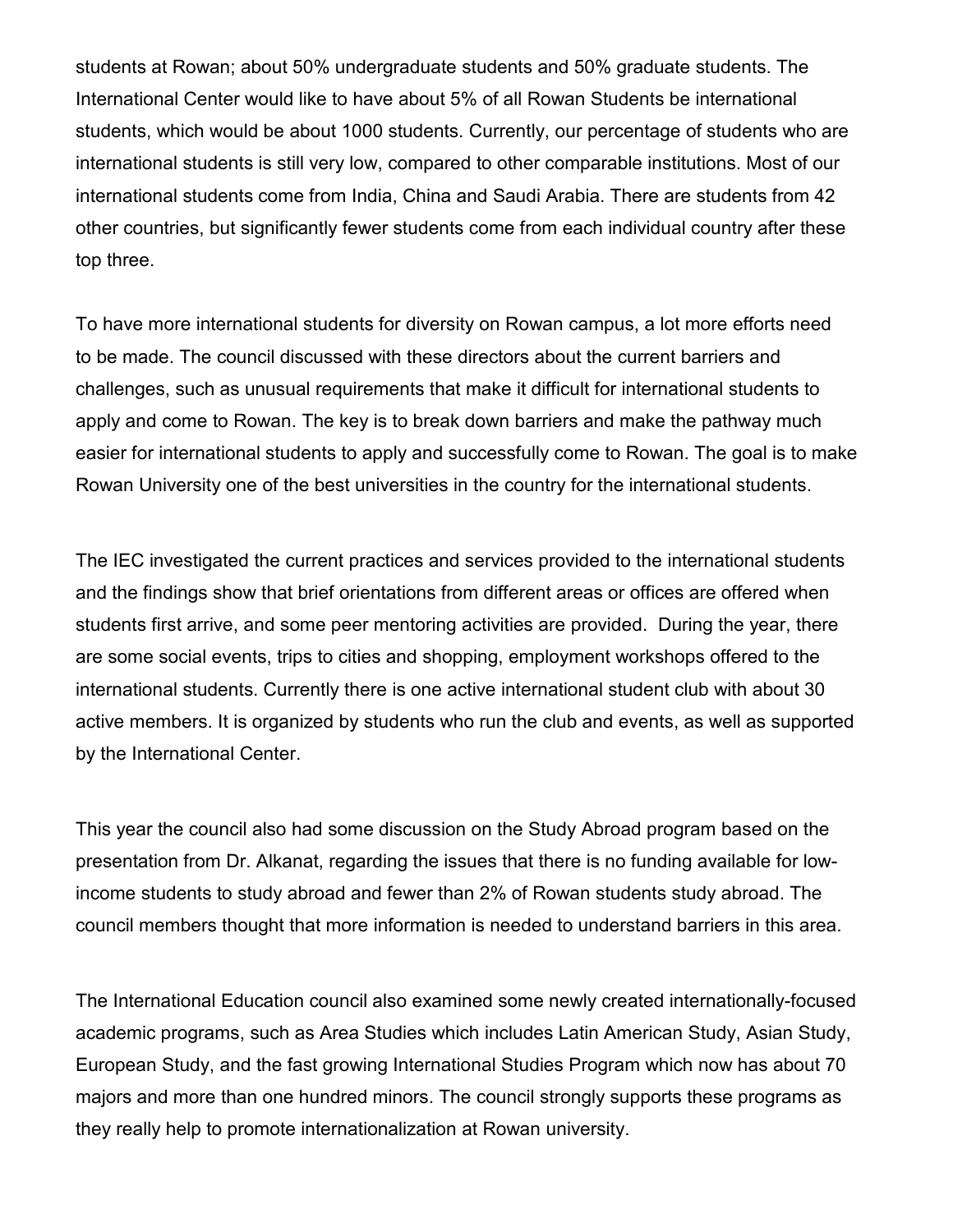students at Rowan; about 50% undergraduate students and 50% graduate students. The International Center would like to have about 5% of all Rowan Students be international students, which would be about 1000 students. Currently, our percentage of students who are international students is still very low, compared to other comparable institutions. Most of our international students come from India, China and Saudi Arabia. There are students from 42 other countries, but significantly fewer students come from each individual country after these top three.

To have more international students for diversity on Rowan campus, a lot more efforts need to be made. The council discussed with these directors about the current barriers and challenges, such as unusual requirements that make it difficult for international students to apply and come to Rowan. The key is to break down barriers and make the pathway much easier for international students to apply and successfully come to Rowan. The goal is to make Rowan University one of the best universities in the country for the international students.

The IEC investigated the current practices and services provided to the international students and the findings show that brief orientations from different areas or offices are offered when students first arrive, and some peer mentoring activities are provided. During the year, there are some social events, trips to cities and shopping, employment workshops offered to the international students. Currently there is one active international student club with about 30 active members. It is organized by students who run the club and events, as well as supported by the International Center.

This year the council also had some discussion on the Study Abroad program based on the presentation from Dr. Alkanat, regarding the issues that there is no funding available for lowincome students to study abroad and fewer than 2% of Rowan students study abroad. The council members thought that more information is needed to understand barriers in this area.

The International Education council also examined some newly created internationally-focused academic programs, such as Area Studies which includes Latin American Study, Asian Study, European Study, and the fast growing International Studies Program which now has about 70 majors and more than one hundred minors. The council strongly supports these programs as they really help to promote internationalization at Rowan university.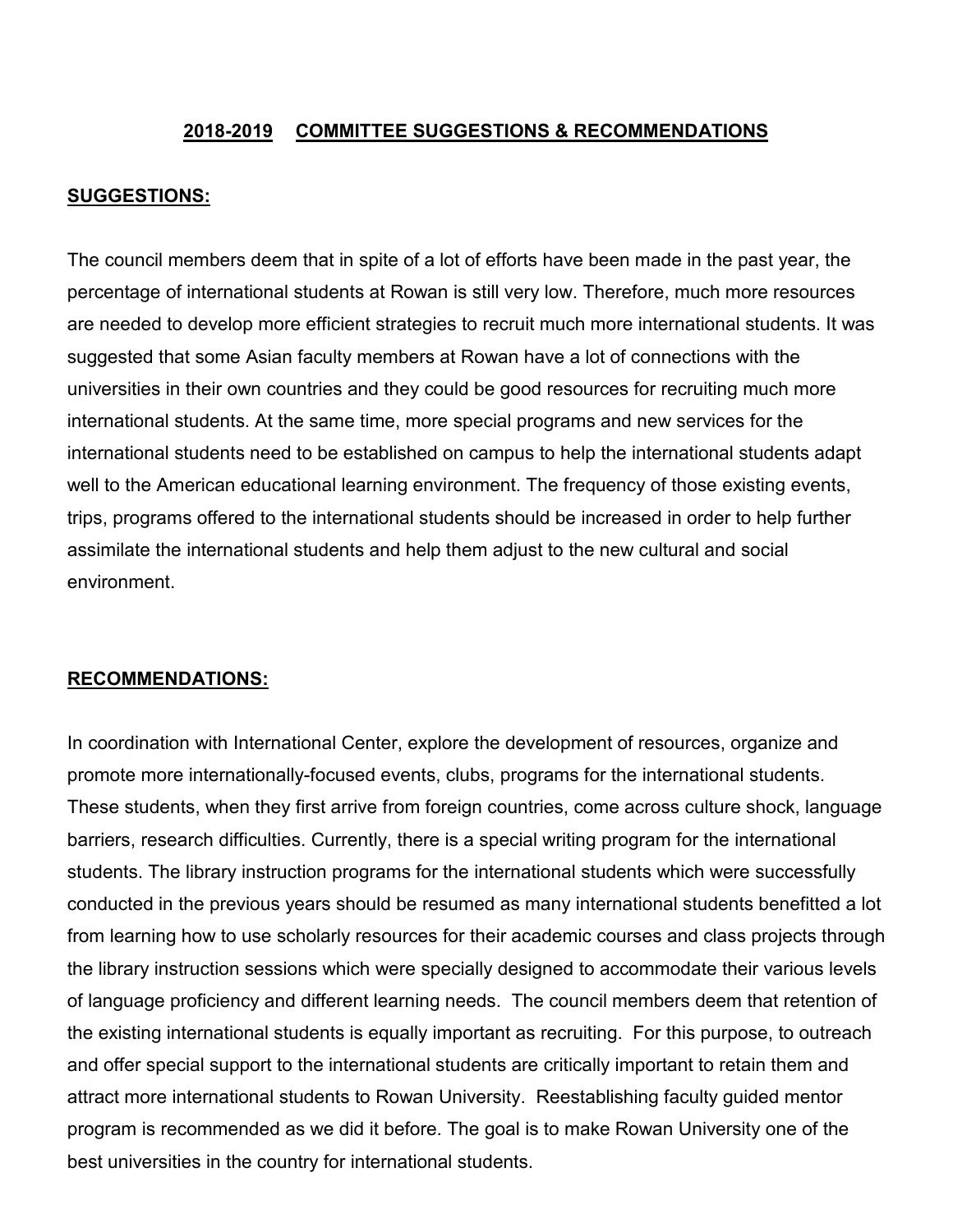### **2018-2019 COMMITTEE SUGGESTIONS & RECOMMENDATIONS**

#### **SUGGESTIONS:**

The council members deem that in spite of a lot of efforts have been made in the past year, the percentage of international students at Rowan is still very low. Therefore, much more resources are needed to develop more efficient strategies to recruit much more international students. It was suggested that some Asian faculty members at Rowan have a lot of connections with the universities in their own countries and they could be good resources for recruiting much more international students. At the same time, more special programs and new services for the international students need to be established on campus to help the international students adapt well to the American educational learning environment. The frequency of those existing events, trips, programs offered to the international students should be increased in order to help further assimilate the international students and help them adjust to the new cultural and social environment.

#### **RECOMMENDATIONS:**

In coordination with International Center, explore the development of resources, organize and promote more internationally-focused events, clubs, programs for the international students. These students, when they first arrive from foreign countries, come across culture shock, language barriers, research difficulties. Currently, there is a special writing program for the international students. The library instruction programs for the international students which were successfully conducted in the previous years should be resumed as many international students benefitted a lot from learning how to use scholarly resources for their academic courses and class projects through the library instruction sessions which were specially designed to accommodate their various levels of language proficiency and different learning needs. The council members deem that retention of the existing international students is equally important as recruiting. For this purpose, to outreach and offer special support to the international students are critically important to retain them and attract more international students to Rowan University. Reestablishing faculty guided mentor program is recommended as we did it before. The goal is to make Rowan University one of the best universities in the country for international students.